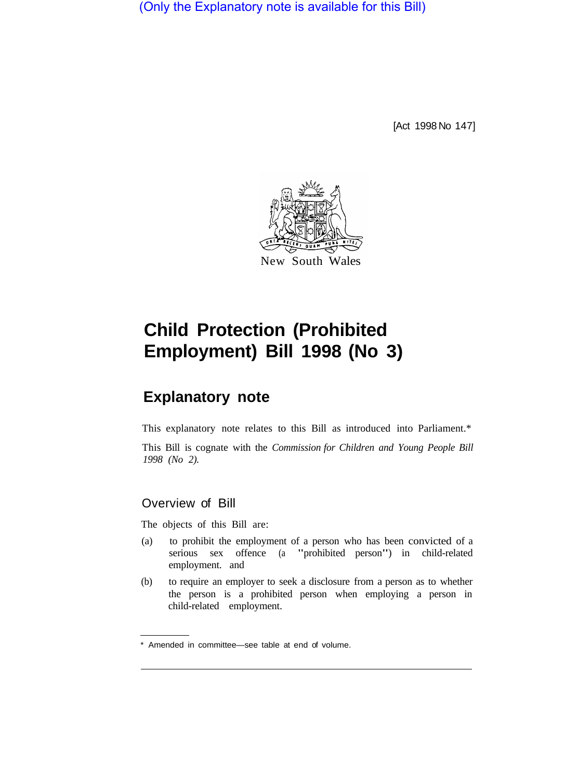(Only the Explanatory note is available for this Bill)

[Act 1998 No 147]



# **Child Protection (Prohibited Employment) Bill 1998 (No 3)**

# **Explanatory note**

This explanatory note relates to this Bill as introduced into Parliament.\*

This Bill is cognate with the *Commission for Children and Young People Bill 1998 (No 2).* 

## Overview of Bill

The objects of this Bill are:

- (a) to prohibit the employment of a person who has been convicted of a serious sex offence (a "prohibited person") in child-related employment. and
- (b) to require an employer to seek a disclosure from a person as to whether the person is a prohibited person when employing a person in child-related employment.

<sup>\*</sup> Amended in committee—see table at end of volume.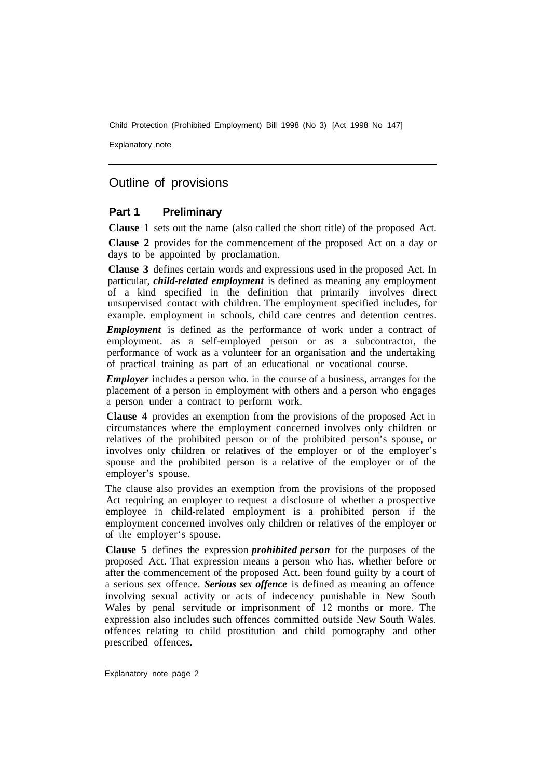Child Protection (Prohibited Employment) Bill 1998 (No 3) [Act 1998 No 147]

Explanatory note

## Outline of provisions

#### **Part 1 Preliminary**

**Clause 1** sets out the name (also called the short title) of the proposed Act.

**Clause 2** provides for the commencement of the proposed Act on a day or days to be appointed by proclamation.

**Clause 3** defines certain words and expressions used in the proposed Act. In particular, *child-related employment* is defined as meaning any employment of a kind specified in the definition that primarily involves direct unsupervised contact with children. The employment specified includes, for example. employment in schools, child care centres and detention centres.

*Employment* is defined as the performance of work under a contract of employment. as a self-employed person or as a subcontractor, the performance of work as a volunteer for an organisation and the undertaking of practical training as part of an educational or vocational course.

*Employer* includes a person who. in the course of a business, arranges for the placement of a person in employment with others and a person who engages a person under a contract to perform work.

**Clause 4** provides an exemption from the provisions of the proposed Act in circumstances where the employment concerned involves only children or relatives of the prohibited person or of the prohibited person's spouse, or involves only children or relatives of the employer or of the employer's spouse and the prohibited person is a relative of the employer or of the employer's spouse.

The clause also provides an exemption from the provisions of the proposed Act requiring an employer to request a disclosure of whether a prospective employee in child-related employment is a prohibited person if the employment concerned involves only children or relatives of the employer or of the employer's spouse.

**Clause 5** defines the expression *prohibited person* for the purposes of the proposed Act. That expression means a person who has. whether before or after the commencement of the proposed Act. been found guilty by a court of a serious sex offence. *Serious sex offence* is defined as meaning an offence involving sexual activity or acts of indecency punishable in New South Wales by penal servitude or imprisonment of 12 months or more. The expression also includes such offences committed outside New South Wales. offences relating to child prostitution and child pornography and other prescribed offences.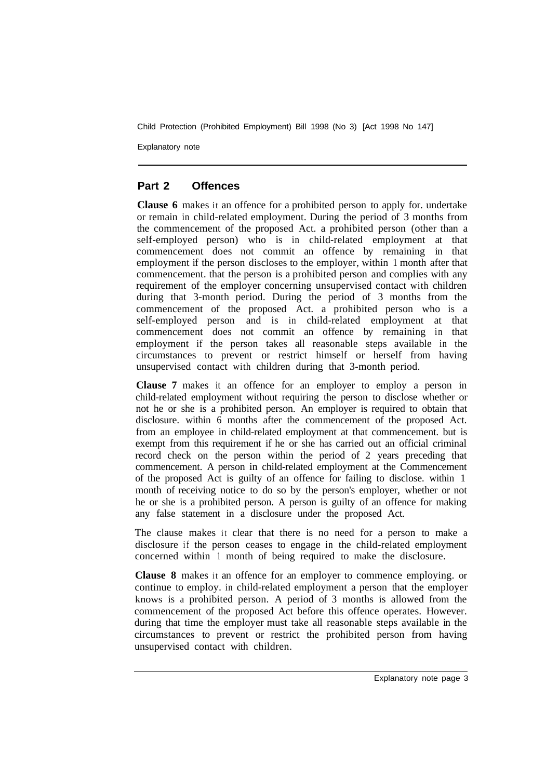Child Protection (Prohibited Employment) Bill 1998 (No 3) [Act 1998 No 147]

Explanatory note

#### **Part 2 Offences**

**Clause 6** makes it an offence for a prohibited person to apply for. undertake or remain in child-related employment. During the period of 3 months from the commencement of the proposed Act. a prohibited person (other than a self-employed person) who is in child-related employment at that commencement does not commit an offence by remaining in that employment if the person discloses to the employer, within 1 month after that commencement. that the person is a prohibited person and complies with any requirement of the employer concerning unsupervised contact with children during that 3-month period. During the period of 3 months from the commencement of the proposed Act. a prohibited person who is a self-employed person and is in child-related employment at that commencement does not commit an offence by remaining in that employment if the person takes all reasonable steps available in the circumstances to prevent or restrict himself or herself from having unsupervised contact with children during that 3-month period.

**Clause 7** makes it an offence for an employer to employ a person in child-related employment without requiring the person to disclose whether or not he or she is a prohibited person. An employer is required to obtain that disclosure. within 6 months after the commencement of the proposed Act. from an employee in child-related employment at that commencement. but is exempt from this requirement if he or she has carried out an official criminal record check on the person within the period of 2 years preceding that commencement. A person in child-related employment at the Commencement of the proposed Act is guilty of an offence for failing to disclose. within 1 month of receiving notice to do so by the person's employer, whether or not he or she is a prohibited person. A person is guilty of an offence for making any false statement in a disclosure under the proposed Act.

The clause makes it clear that there is no need for a person to make a disclosure if the person ceases to engage in the child-related employment concerned within 1 month of being required to make the disclosure.

**Clause 8** makes it an offence for an employer to commence employing. or continue to employ. in child-related employment a person that the employer knows is a prohibited person. A period of 3 months is allowed from the commencement of the proposed Act before this offence operates. However. during that time the employer must take all reasonable steps available in the circumstances to prevent or restrict the prohibited person from having unsupervised contact with children.